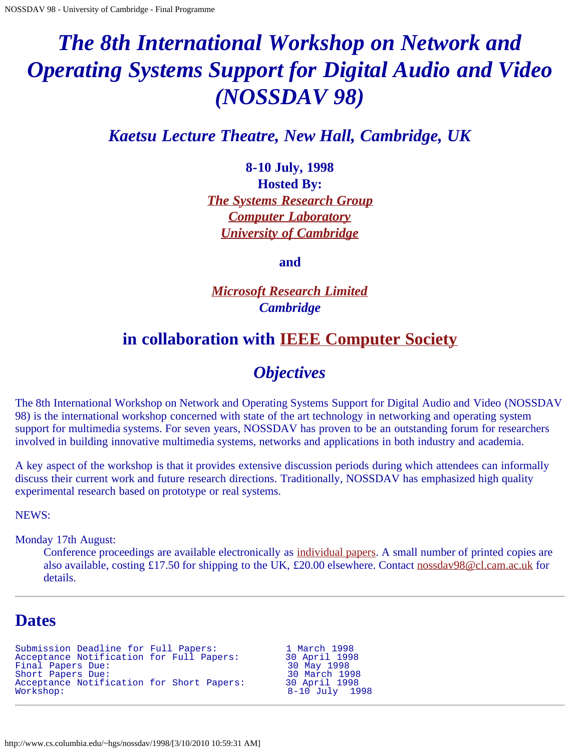# <span id="page-0-0"></span>*The 8th International Workshop on Network and Operating Systems Support for Digital Audio and Video (NOSSDAV 98)*

*Kaetsu Lecture Theatre, New Hall, Cambridge, UK*

**8-10 July, 1998 Hosted By:** *[The Systems Research Group](http://www.cl.cam.ac.uk/Research/SRG) [Computer Laboratory](http://www.cl.cam.ac.uk/) [University of Cambridge](http://www.cam.ac.uk/)*

**and**

*[Microsoft Research Limited](http://research.microsoft.com/cambridge/) Cambridge*

# **in collaboration with [IEEE Computer Society](http://www.computer.org/)**

# *Objectives*

The 8th International Workshop on Network and Operating Systems Support for Digital Audio and Video (NOSSDAV 98) is the international workshop concerned with state of the art technology in networking and operating system support for multimedia systems. For seven years, NOSSDAV has proven to be an outstanding forum for researchers involved in building innovative multimedia systems, networks and applications in both industry and academia.

A key aspect of the workshop is that it provides extensive discussion periods during which attendees can informally discuss their current work and future research directions. Traditionally, NOSSDAV has emphasized high quality experimental research based on prototype or real systems.

NEWS:

Monday 17th August:

Conference proceedings are available electronically as [individual papers](#page-0-0). A small number of printed copies are also available, costing £17.50 for shipping to the UK, £20.00 elsewhere. Contact [nossdav98@cl.cam.ac.uk](mailto:nossdav98@cl.cam.ac.uk) for details.

# **Dates**

```
Submission Deadline for Full Papers:             1 March 1998<br>Acceptance Notification for Full Papers:         30 April 1998
Acceptance Notification for Full Papers: 30 April 1998
Final Papers Due: 30 May 1998
Short Papers Due: 30 March 1998
Acceptance Notification for Short Papers: 30 April 1998<br>Workshop: 3-10 July
```
8-10 July 1998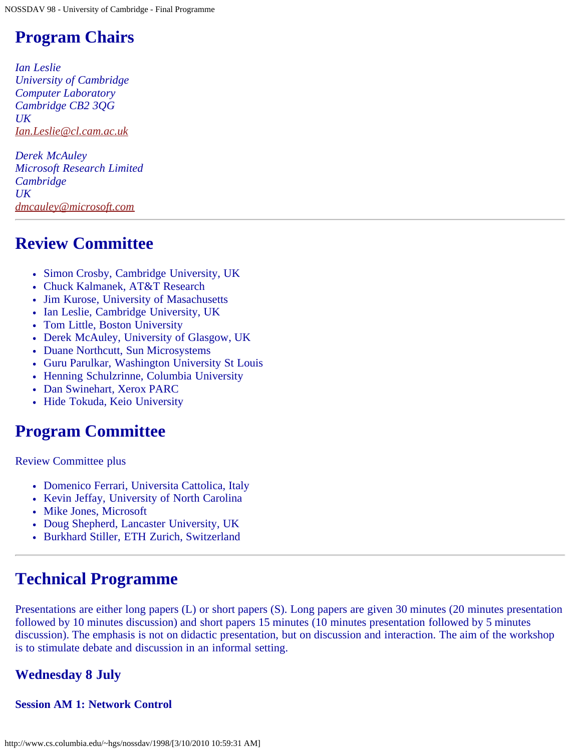# **Program Chairs**

*Ian Leslie University of Cambridge Computer Laboratory Cambridge CB2 3QG UK [Ian.Leslie@cl.cam.ac.uk](mailto:Ian.Leslie@cl.cam.ac.uk)*

*Derek McAuley Microsoft Research Limited Cambridge UK [dmcauley@microsoft.com](mailto:dmcauley@microsoft.com)*

# **Review Committee**

- Simon Crosby, Cambridge University, UK
- Chuck Kalmanek, AT&T Research
- Jim Kurose, University of Masachusetts
- Ian Leslie, Cambridge University, UK
- Tom Little, Boston University
- Derek McAuley, University of Glasgow, UK
- Duane Northcutt, Sun Microsystems
- Guru Parulkar, Washington University St Louis
- Henning Schulzrinne, Columbia University
- Dan Swinehart, Xerox PARC
- Hide Tokuda, Keio University

# **Program Committee**

Review Committee plus

- Domenico Ferrari, Universita Cattolica, Italy
- Kevin Jeffay, University of North Carolina
- Mike Jones, Microsoft
- Doug Shepherd, Lancaster University, UK
- Burkhard Stiller, ETH Zurich, Switzerland

# **Technical Programme**

Presentations are either long papers (L) or short papers (S). Long papers are given 30 minutes (20 minutes presentation followed by 10 minutes discussion) and short papers 15 minutes (10 minutes presentation followed by 5 minutes discussion). The emphasis is not on didactic presentation, but on discussion and interaction. The aim of the workshop is to stimulate debate and discussion in an informal setting.

# **Wednesday 8 July**

# **Session AM 1: Network Control**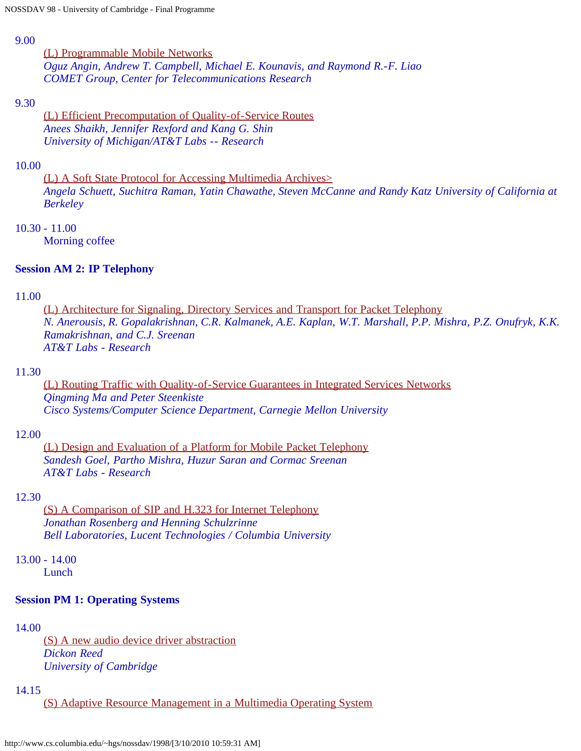#### 9.00

[\(L\) Programmable Mobile Networks](http://www.cs.columbia.edu/~hgs/nossdav/1998/papers/nossdav98-027.ps.gz) *Oguz Angin, Andrew T. Campbell, Michael E. Kounavis, and Raymond R.-F. Liao COMET Group, Center for Telecommunications Research*

#### 9.30

[\(L\) Efficient Precomputation of Quality-of-Service Routes](http://www.cs.columbia.edu/~hgs/nossdav/1998/papers/nossdav98-030.ps.gz) *Anees Shaikh, Jennifer Rexford and Kang G. Shin University of Michigan/AT&T Labs -- Research*

#### 10.00

[\(L\) A Soft State Protocol for Accessing Multimedia Archives>](http://www.cs.columbia.edu/~hgs/nossdav/1998/papers/nossdav98-037.ps.gz) *Angela Schuett, Suchitra Raman, Yatin Chawathe, Steven McCanne and Randy Katz University of California at Berkeley*

#### 10.30 - 11.00

Morning coffee

#### **Session AM 2: IP Telephony**

#### 11.00

[\(L\) Architecture for Signaling, Directory Services and Transport for Packet Telephony](http://www.cs.columbia.edu/~hgs/nossdav/1998/papers/nossdav98-021.ps.gz) *N. Anerousis, R. Gopalakrishnan, C.R. Kalmanek, A.E. Kaplan, W.T. Marshall, P.P. Mishra, P.Z. Onufryk, K.K. Ramakrishnan, and C.J. Sreenan AT&T Labs - Research*

#### 11.30

[\(L\) Routing Traffic with Quality-of-Service Guarantees in Integrated Services Networks](http://www.cs.columbia.edu/~hgs/nossdav/1998/papers/nossdav98-031.ps.gz) *Qingming Ma and Peter Steenkiste Cisco Systems/Computer Science Department, Carnegie Mellon University*

#### 12.00

[\(L\) Design and Evaluation of a Platform for Mobile Packet Telephony](http://www.cs.columbia.edu/~hgs/nossdav/1998/papers/nossdav98-036.ps.gz) *Sandesh Goel, Partho Mishra, Huzur Saran and Cormac Sreenan AT&T Labs - Research*

#### 12.30

[\(S\) A Comparison of SIP and H.323 for Internet Telephony](http://www.cs.columbia.edu/~hgs/nossdav/1998/papers/nossdav98-043.ps.gz) *Jonathan Rosenberg and Henning Schulzrinne Bell Laboratories, Lucent Technologies / Columbia University*

13.00 - 14.00

Lunch

#### **Session PM 1: Operating Systems**

#### 14.00

[\(S\) A new audio device driver abstraction](http://www.cs.columbia.edu/~hgs/nossdav/1998/papers/nossdav98-039.ps.gz) *Dickon Reed University of Cambridge*

#### 14.15

[\(S\) Adaptive Resource Management in a Multimedia Operating System](http://www.cs.columbia.edu/~hgs/nossdav/1998/papers/nossdav98-049.ps.gz)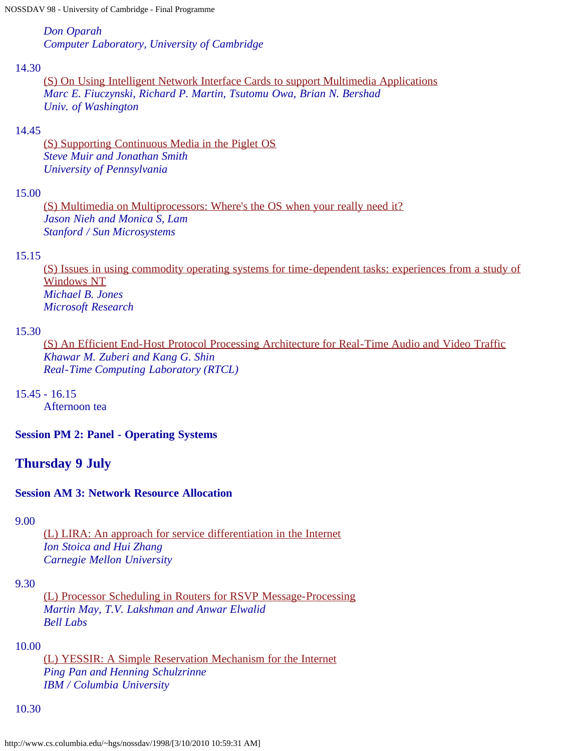*Don Oparah Computer Laboratory, University of Cambridge*

#### 14.30

[\(S\) On Using Intelligent Network Interface Cards to support Multimedia Applications](http://www.cs.columbia.edu/~hgs/nossdav/1998/papers/nossdav98-060.ps.gz) *Marc E. Fiuczynski, Richard P. Martin, Tsutomu Owa, Brian N. Bershad Univ. of Washington*

### 14.45

[\(S\) Supporting Continuous Media in the Piglet OS](http://www.cs.columbia.edu/~hgs/nossdav/1998/papers/nossdav98-072.ps.gz) *Steve Muir and Jonathan Smith University of Pennsylvania*

# 15.00

[\(S\) Multimedia on Multiprocessors: Where's the OS when your really need it?](http://www.cs.columbia.edu/~hgs/nossdav/1998/papers/nossdav98-078.ps.gz) *Jason Nieh and Monica S, Lam Stanford / Sun Microsystems*

#### 15.15

[\(S\) Issues in using commodity operating systems for time-dependent tasks: experiences from a study of](http://www.cs.columbia.edu/~hgs/nossdav/1998/papers/nossdav98-079.ps.gz) [Windows NT](http://www.cs.columbia.edu/~hgs/nossdav/1998/papers/nossdav98-079.ps.gz) *Michael B. Jones Microsoft Research*

#### 15.30

[\(S\) An Efficient End-Host Protocol Processing Architecture for Real-Time Audio and Video Traffic](http://www.cs.columbia.edu/~hgs/nossdav/1998/papers/nossdav98-009.ps.gz) *Khawar M. Zuberi and Kang G. Shin Real-Time Computing Laboratory (RTCL)*

15.45 - 16.15

Afternoon tea

**Session PM 2: Panel - Operating Systems**

# **Thursday 9 July**

# **Session AM 3: Network Resource Allocation**

9.00

[\(L\) LIRA: An approach for service differentiation in the Internet](http://www.cs.columbia.edu/~hgs/nossdav/1998/papers/nossdav98-024.ps.gz) *Ion Stoica and Hui Zhang Carnegie Mellon University*

#### 9.30

[\(L\) Processor Scheduling in Routers for RSVP Message-Processing](http://www.cs.columbia.edu/~hgs/nossdav/1998/papers/nossdav98-026.ps.gz) *Martin May, T.V. Lakshman and Anwar Elwalid Bell Labs*

#### 10.00

[\(L\) YESSIR: A Simple Reservation Mechanism for the Internet](http://www.cs.columbia.edu/~hgs/nossdav/1998/papers/nossdav98-032.ps.gz) *Ping Pan and Henning Schulzrinne IBM / Columbia University*

#### 10.30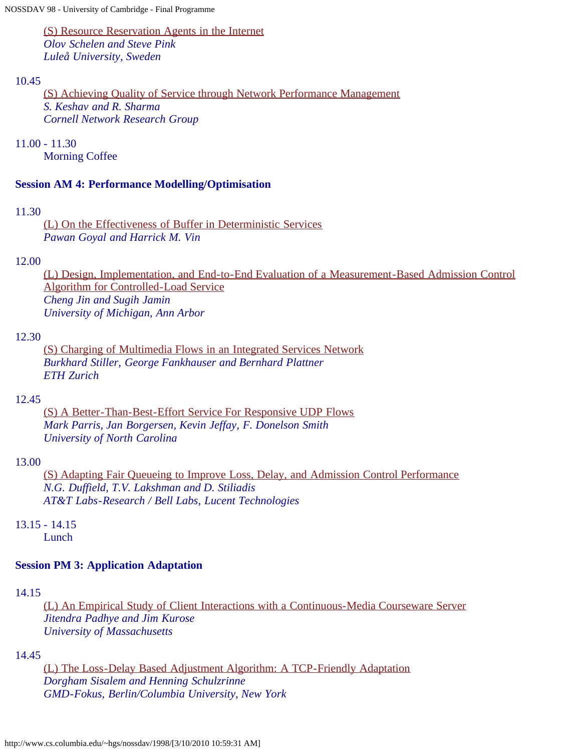[\(S\) Resource Reservation Agents in the Internet](http://www.cs.columbia.edu/~hgs/nossdav/1998/papers/nossdav98-052.ps.gz) *Olov Schelen and Steve Pink Luleå University, Sweden*

#### 10.45

[\(S\) Achieving Quality of Service through Network Performance Management](http://www.cs.columbia.edu/~hgs/nossdav/1998/papers/nossdav98-056.ps.gz) *S. Keshav and R. Sharma Cornell Network Research Group*

11.00 - 11.30

Morning Coffee

#### **Session AM 4: Performance Modelling/Optimisation**

#### 11.30

[\(L\) On the Effectiveness of Buffer in Deterministic Services](http://www.cs.columbia.edu/~hgs/nossdav/1998/papers/nossdav98-020.ps.gz) *Pawan Goyal and Harrick M. Vin*

#### 12.00

[\(L\) Design, Implementation, and End-to-End Evaluation of a Measurement-Based Admission Control](http://www.cs.columbia.edu/~hgs/nossdav/1998/papers/nossdav98-035.ps.gz) [Algorithm for Controlled-Load Service](http://www.cs.columbia.edu/~hgs/nossdav/1998/papers/nossdav98-035.ps.gz) *Cheng Jin and Sugih Jamin University of Michigan, Ann Arbor*

#### 12.30

[\(S\) Charging of Multimedia Flows in an Integrated Services Network](http://www.cs.columbia.edu/~hgs/nossdav/1998/papers/nossdav98-050.ps.gz) *Burkhard Stiller, George Fankhauser and Bernhard Plattner ETH Zurich*

#### 12.45

[\(S\) A Better-Than-Best-Effort Service For Responsive UDP Flows](http://www.cs.columbia.edu/~hgs/nossdav/1998/papers/nossdav98-062.ps.gz) *Mark Parris, Jan Borgersen, Kevin Jeffay, F. Donelson Smith University of North Carolina*

#### 13.00

[\(S\) Adapting Fair Queueing to Improve Loss, Delay, and Admission Control Performance](http://www.cs.columbia.edu/~hgs/nossdav/1998/papers/nossdav98-075.ps.gz) *N.G. Duffield, T.V. Lakshman and D. Stiliadis AT&T Labs-Research / Bell Labs, Lucent Technologies*

# 13.15 - 14.15

Lunch

# **Session PM 3: Application Adaptation**

# 14.15

[\(L\) An Empirical Study of Client Interactions with a Continuous-Media Courseware Server](http://www.cs.columbia.edu/~hgs/nossdav/1998/papers/nossdav98-018.ps.gz) *Jitendra Padhye and Jim Kurose University of Massachusetts*

#### 14.45

[\(L\) The Loss-Delay Based Adjustment Algorithm: A TCP-Friendly Adaptation](http://www.cs.columbia.edu/~hgs/nossdav/1998/papers/nossdav98-033.ps.gz) *Dorgham Sisalem and Henning Schulzrinne GMD-Fokus, Berlin/Columbia University, New York*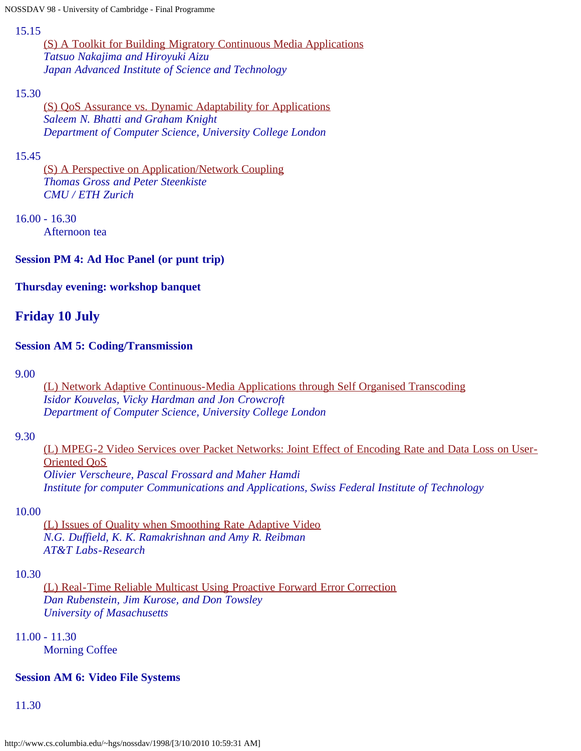#### 15.15

[\(S\) A Toolkit for Building Migratory Continuous Media Applications](http://www.cs.columbia.edu/~hgs/nossdav/1998/papers/nossdav98-038.ps.gz) *Tatsuo Nakajima and Hiroyuki Aizu Japan Advanced Institute of Science and Technology*

# 15.30

[\(S\) QoS Assurance vs. Dynamic Adaptability for Applications](http://www.cs.columbia.edu/~hgs/nossdav/1998/papers/nossdav98-046.ps.gz) *Saleem N. Bhatti and Graham Knight Department of Computer Science, University College London*

# 15.45

[\(S\) A Perspective on Application/Network Coupling](http://www.cs.columbia.edu/~hgs/nossdav/1998/papers/nossdav98-065.ps.gz) *Thomas Gross and Peter Steenkiste CMU / ETH Zurich*

# 16.00 - 16.30

Afternoon tea

# **Session PM 4: Ad Hoc Panel (or punt trip)**

# **Thursday evening: workshop banquet**

# **Friday 10 July**

# **Session AM 5: Coding/Transmission**

9.00

[\(L\) Network Adaptive Continuous-Media Applications through Self Organised Transcoding](http://www.cs.columbia.edu/~hgs/nossdav/1998/papers/nossdav98-004.ps.gz) *Isidor Kouvelas, Vicky Hardman and Jon Crowcroft Department of Computer Science, University College London*

# 9.30

[\(L\) MPEG-2 Video Services over Packet Networks: Joint Effect of Encoding Rate and Data Loss on User-](http://www.cs.columbia.edu/~hgs/nossdav/1998/papers/nossdav98-010.ps.gz)[Oriented QoS](http://www.cs.columbia.edu/~hgs/nossdav/1998/papers/nossdav98-010.ps.gz) *Olivier Verscheure, Pascal Frossard and Maher Hamdi Institute for computer Communications and Applications, Swiss Federal Institute of Technology*

# 10.00

[\(L\) Issues of Quality when Smoothing Rate Adaptive Video](http://www.cs.columbia.edu/~hgs/nossdav/1998/papers/nossdav98-015.ps.gz) *N.G. Duffield, K. K. Ramakrishnan and Amy R. Reibman AT&T Labs-Research*

# 10.30

[\(L\) Real-Time Reliable Multicast Using Proactive Forward Error Correction](http://www.cs.columbia.edu/~hgs/nossdav/1998/papers/nossdav98-025.ps.gz) *Dan Rubenstein, Jim Kurose, and Don Towsley University of Masachusetts*

# 11.00 - 11.30

Morning Coffee

# **Session AM 6: Video File Systems**

11.30